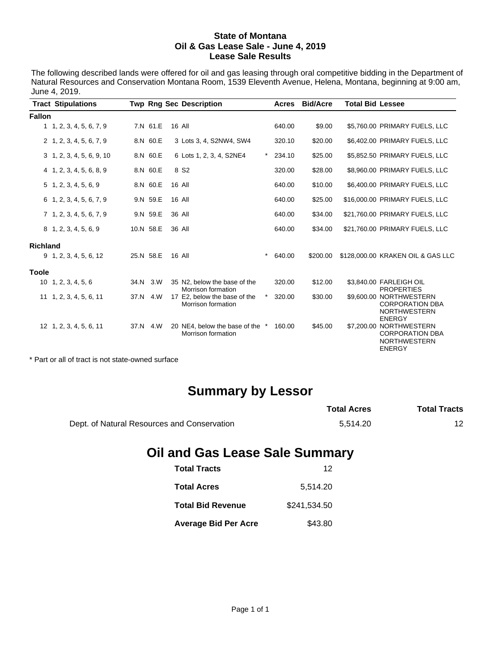#### **State of Montana Oil & Gas Lease Sale - June 4, 2019 Lease Sale Results**

The following described lands were offered for oil and gas leasing through oral competitive bidding in the Department of Natural Resources and Conservation Montana Room, 1539 Eleventh Avenue, Helena, Montana, beginning at 9:00 am, June 4, 2019.

|                 | <b>Tract Stipulations</b>        |           | <b>Twp Rng Sec Description</b>                        |            | Acres  | <b>Bid/Acre</b> | <b>Total Bid Lessee</b> |                                                                                           |
|-----------------|----------------------------------|-----------|-------------------------------------------------------|------------|--------|-----------------|-------------------------|-------------------------------------------------------------------------------------------|
| <b>Fallon</b>   |                                  |           |                                                       |            |        |                 |                         |                                                                                           |
|                 | 1, 1, 2, 3, 4, 5, 6, 7, 9        | 7.N 61.E  | 16 All                                                |            | 640.00 | \$9.00          |                         | \$5,760.00 PRIMARY FUELS, LLC                                                             |
|                 | 2, 1, 2, 3, 4, 5, 6, 7, 9        | 8.N 60.E  | 3 Lots 3, 4, S2NW4, SW4                               |            | 320.10 | \$20.00         |                         | \$6,402.00 PRIMARY FUELS, LLC                                                             |
|                 | $3\quad 1, 2, 3, 4, 5, 6, 9, 10$ | 8.N 60.E  | 6 Lots 1, 2, 3, 4, S2NE4                              | $^{\star}$ | 234.10 | \$25.00         |                         | \$5,852.50 PRIMARY FUELS, LLC                                                             |
|                 | 4 1, 2, 3, 4, 5, 6, 8, 9         | 8.N 60.E  | 8 S <sub>2</sub>                                      |            | 320.00 | \$28.00         |                         | \$8,960.00 PRIMARY FUELS, LLC                                                             |
|                 | $5$ 1, 2, 3, 4, 5, 6, 9          | 8.N 60.E  | <b>16 All</b>                                         |            | 640.00 | \$10.00         |                         | \$6,400.00 PRIMARY FUELS, LLC                                                             |
|                 | 6 1, 2, 3, 4, 5, 6, 7, 9         | 9.N 59.E  | 16 All                                                |            | 640.00 | \$25.00         |                         | \$16,000.00 PRIMARY FUELS, LLC                                                            |
|                 | 7 1, 2, 3, 4, 5, 6, 7, 9         | 9.N 59.E  | 36 All                                                |            | 640.00 | \$34.00         |                         | \$21,760.00 PRIMARY FUELS, LLC                                                            |
|                 | 8 1, 2, 3, 4, 5, 6, 9            | 10.N 58.E | 36 All                                                |            | 640.00 | \$34.00         |                         | \$21,760.00 PRIMARY FUELS, LLC                                                            |
| <b>Richland</b> |                                  |           |                                                       |            |        |                 |                         |                                                                                           |
|                 | $9$ 1, 2, 3, 4, 5, 6, 12         | 25.N 58.E | <b>16 All</b>                                         | $\star$    | 640.00 | \$200.00        |                         | \$128,000.00 KRAKEN OIL & GAS LLC                                                         |
| <b>Toole</b>    |                                  |           |                                                       |            |        |                 |                         |                                                                                           |
|                 | $10 \quad 1, 2, 3, 4, 5, 6$      | 34.N 3.W  | 35 N2, below the base of the<br>Morrison formation    |            | 320.00 | \$12.00         |                         | \$3,840.00 FARLEIGH OIL<br><b>PROPERTIES</b>                                              |
|                 | 11 1, 2, 3, 4, 5, 6, 11          | 37.N 4.W  | 17 E2, below the base of the<br>Morrison formation    | $^\star$   | 320.00 | \$30.00         |                         | \$9,600.00 NORTHWESTERN<br><b>CORPORATION DBA</b><br><b>NORTHWESTERN</b><br><b>ENERGY</b> |
|                 | 12 1, 2, 3, 4, 5, 6, 11          | 37.N 4.W  | 20 NE4, below the base of the *<br>Morrison formation |            | 160.00 | \$45.00         |                         | \$7,200.00 NORTHWESTERN<br><b>CORPORATION DBA</b><br><b>NORTHWESTERN</b><br><b>ENERGY</b> |

\* Part or all of tract is not state-owned surface

# **Summary by Lessor**

|                                             | <b>Total Acres</b> | <b>Total Tracts</b> |
|---------------------------------------------|--------------------|---------------------|
| Dept. of Natural Resources and Conservation | 5.514.20           | 12                  |

# **Oil and Gas Lease Sale Summary**

| <b>Total Tracts</b>         | 12           |
|-----------------------------|--------------|
| <b>Total Acres</b>          | 5,514.20     |
| <b>Total Bid Revenue</b>    | \$241,534.50 |
| <b>Average Bid Per Acre</b> | \$43.80      |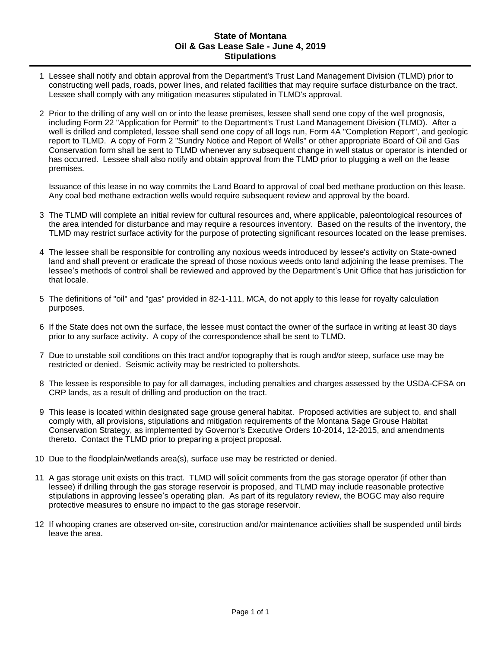### **State of Montana Oil & Gas Lease Sale - June 4, 2019 Stipulations**

- 1 Lessee shall notify and obtain approval from the Department's Trust Land Management Division (TLMD) prior to constructing well pads, roads, power lines, and related facilities that may require surface disturbance on the tract. Lessee shall comply with any mitigation measures stipulated in TLMD's approval.
- 2 Prior to the drilling of any well on or into the lease premises, lessee shall send one copy of the well prognosis, including Form 22 "Application for Permit" to the Department's Trust Land Management Division (TLMD). After a well is drilled and completed, lessee shall send one copy of all logs run, Form 4A "Completion Report", and geologic report to TLMD. A copy of Form 2 "Sundry Notice and Report of Wells" or other appropriate Board of Oil and Gas Conservation form shall be sent to TLMD whenever any subsequent change in well status or operator is intended or has occurred. Lessee shall also notify and obtain approval from the TLMD prior to plugging a well on the lease premises.

Issuance of this lease in no way commits the Land Board to approval of coal bed methane production on this lease. Any coal bed methane extraction wells would require subsequent review and approval by the board.

- 3 The TLMD will complete an initial review for cultural resources and, where applicable, paleontological resources of the area intended for disturbance and may require a resources inventory. Based on the results of the inventory, the TLMD may restrict surface activity for the purpose of protecting significant resources located on the lease premises.
- 4 The lessee shall be responsible for controlling any noxious weeds introduced by lessee's activity on State-owned land and shall prevent or eradicate the spread of those noxious weeds onto land adjoining the lease premises. The lessee's methods of control shall be reviewed and approved by the Department's Unit Office that has jurisdiction for that locale.
- 5 The definitions of "oil" and "gas" provided in 82-1-111, MCA, do not apply to this lease for royalty calculation purposes.
- 6 If the State does not own the surface, the lessee must contact the owner of the surface in writing at least 30 days prior to any surface activity. A copy of the correspondence shall be sent to TLMD.
- 7 Due to unstable soil conditions on this tract and/or topography that is rough and/or steep, surface use may be restricted or denied. Seismic activity may be restricted to poltershots.
- 8 The lessee is responsible to pay for all damages, including penalties and charges assessed by the USDA-CFSA on CRP lands, as a result of drilling and production on the tract.
- 9 This lease is located within designated sage grouse general habitat. Proposed activities are subject to, and shall comply with, all provisions, stipulations and mitigation requirements of the Montana Sage Grouse Habitat Conservation Strategy, as implemented by Governor's Executive Orders 10-2014, 12-2015, and amendments thereto. Contact the TLMD prior to preparing a project proposal.
- 10 Due to the floodplain/wetlands area(s), surface use may be restricted or denied.
- 11 A gas storage unit exists on this tract. TLMD will solicit comments from the gas storage operator (if other than lessee) if drilling through the gas storage reservoir is proposed, and TLMD may include reasonable protective stipulations in approving lessee's operating plan. As part of its regulatory review, the BOGC may also require protective measures to ensure no impact to the gas storage reservoir.
- 12 If whooping cranes are observed on-site, construction and/or maintenance activities shall be suspended until birds leave the area.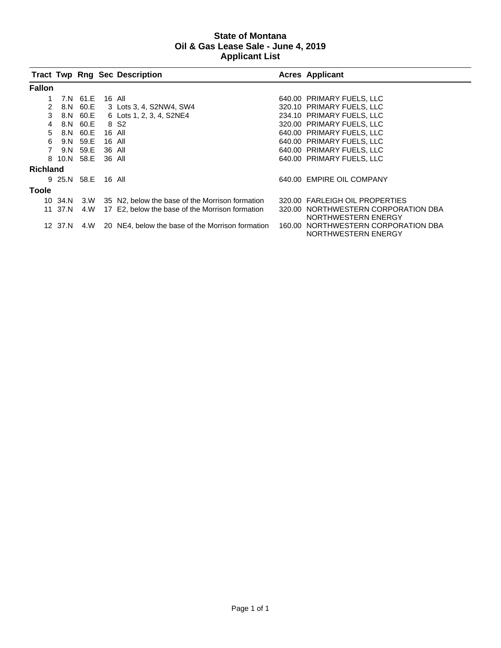## **State of Montana Oil & Gas Lease Sale - June 4, 2019 Applicant List**

|          |                    |          |        | <b>Tract Twp Rng Sec Description</b>             | <b>Acres Applicant</b>                                     |
|----------|--------------------|----------|--------|--------------------------------------------------|------------------------------------------------------------|
| Fallon   |                    |          |        |                                                  |                                                            |
|          |                    | 7.N 61.E |        | 16 All                                           | 640.00 PRIMARY FUELS, LLC                                  |
| 2        |                    | 8.N 60.E |        | 3 Lots 3, 4, S2NW4, SW4                          | 320.10 PRIMARY FUELS, LLC                                  |
| 3        |                    | 8.N 60.E |        | 6 Lots 1, 2, 3, 4, S2NE4                         | 234.10 PRIMARY FUELS, LLC                                  |
| 4        |                    | 8.N 60.E |        | 8 S <sub>2</sub>                                 | 320.00 PRIMARY FUELS, LLC                                  |
| 5        |                    | 8.N 60.E | 16 All |                                                  | 640.00 PRIMARY FUELS, LLC                                  |
| 6        |                    | 9.N 59.E | 16 All |                                                  | 640.00 PRIMARY FUELS, LLC                                  |
|          |                    | 9.N 59.E | 36 All |                                                  | 640.00 PRIMARY FUELS, LLC                                  |
|          | 8 10.N 58.E        |          | 36 All |                                                  | 640.00 PRIMARY FUELS, LLC                                  |
| Richland |                    |          |        |                                                  |                                                            |
|          | 9 25.N 58.E 16 All |          |        |                                                  | 640.00 EMPIRE OIL COMPANY                                  |
| Toole    |                    |          |        |                                                  |                                                            |
|          | 10 34.N            | 3.W      |        | 35 N2, below the base of the Morrison formation  | 320.00 FARLEIGH OIL PROPERTIES                             |
|          | 11 37.N            | 4.W      |        | 17 E2, below the base of the Morrison formation  | 320.00 NORTHWESTERN CORPORATION DBA<br>NORTHWESTERN ENERGY |
|          | 12 37.N            | 4.W      |        | 20 NE4, below the base of the Morrison formation | 160.00 NORTHWESTERN CORPORATION DBA<br>NORTHWESTERN ENERGY |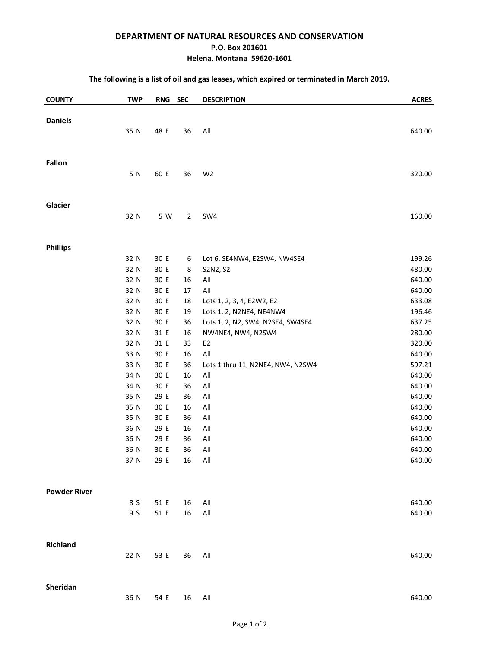#### **DEPARTMENT OF NATURAL RESOURCES AND CONSERVATION**

#### **P.O. Box 201601**

#### **Helena, Montana 59620-1601**

#### **The following is a list of oil and gas leases, which expired or terminated in March 2019.**

| <b>COUNTY</b>       | <b>TWP</b> | RNG SEC |                | <b>DESCRIPTION</b>                | <b>ACRES</b> |
|---------------------|------------|---------|----------------|-----------------------------------|--------------|
|                     |            |         |                |                                   |              |
| <b>Daniels</b>      |            |         |                |                                   |              |
|                     | 35 N       | 48 E    | 36             | All                               | 640.00       |
|                     |            |         |                |                                   |              |
| <b>Fallon</b>       |            |         |                |                                   |              |
|                     | 5 N        | 60 E    | 36             | W <sub>2</sub>                    | 320.00       |
|                     |            |         |                |                                   |              |
| Glacier             |            |         |                |                                   |              |
|                     | 32 N       | 5 W     | $\overline{2}$ | SW4                               | 160.00       |
|                     |            |         |                |                                   |              |
| <b>Phillips</b>     | 32 N       | 30 E    |                | Lot 6, SE4NW4, E2SW4, NW4SE4      | 199.26       |
|                     | 32 N       | 30 E    | 6<br>8         | S2N2, S2                          | 480.00       |
|                     | 32 N       | 30 E    | 16             | $\mathsf{All}$                    | 640.00       |
|                     | 32 N       | 30 E    | 17             | All                               | 640.00       |
|                     | 32 N       | 30 E    | 18             | Lots 1, 2, 3, 4, E2W2, E2         | 633.08       |
|                     | 32 N       | 30 E    | 19             | Lots 1, 2, N2NE4, NE4NW4          | 196.46       |
|                     | 32 N       | 30 E    | 36             | Lots 1, 2, N2, SW4, N2SE4, SW4SE4 | 637.25       |
|                     | 32 N       | 31 E    | 16             | NW4NE4, NW4, N2SW4                | 280.00       |
|                     | 32 N       | 31 E    | 33             | E <sub>2</sub>                    | 320.00       |
|                     | 33 N       | 30 E    | 16             | All                               | 640.00       |
|                     | 33 N       | 30 E    | 36             | Lots 1 thru 11, N2NE4, NW4, N2SW4 | 597.21       |
|                     | 34 N       | 30 E    | 16             | $\mathsf{All}$                    | 640.00       |
|                     | 34 N       | 30 E    | 36             | $\mathsf{All}$                    | 640.00       |
|                     | 35 N       | 29 E    | 36             | All                               | 640.00       |
|                     | 35 N       | 30 E    | 16             | $\mathsf{All}$                    | 640.00       |
|                     | 35 N       | 30 E    | 36             | All                               | 640.00       |
|                     | 36 N       | 29 E    | 16             | $\mathsf{All}$                    | 640.00       |
|                     | 36 N       | 29 E    | 36             | $\mathsf{All}$                    | 640.00       |
|                     | 36 N       | 30 E    | 36             | All                               | 640.00       |
|                     | 37 N       | 29 E    | 16             | All                               | 640.00       |
|                     |            |         |                |                                   |              |
| <b>Powder River</b> |            |         |                |                                   |              |
|                     | 8 S        | 51 E    | 16             | All                               | 640.00       |
|                     | 9 S        | 51 E    | 16             | All                               | 640.00       |
|                     |            |         |                |                                   |              |
| <b>Richland</b>     |            |         |                |                                   |              |
|                     | 22 N       | 53 E    | 36             | All                               | 640.00       |
|                     |            |         |                |                                   |              |
| Sheridan            | 36 N       | 54 E    | 16             | $\mathsf{All}$                    | 640.00       |
|                     |            |         |                |                                   |              |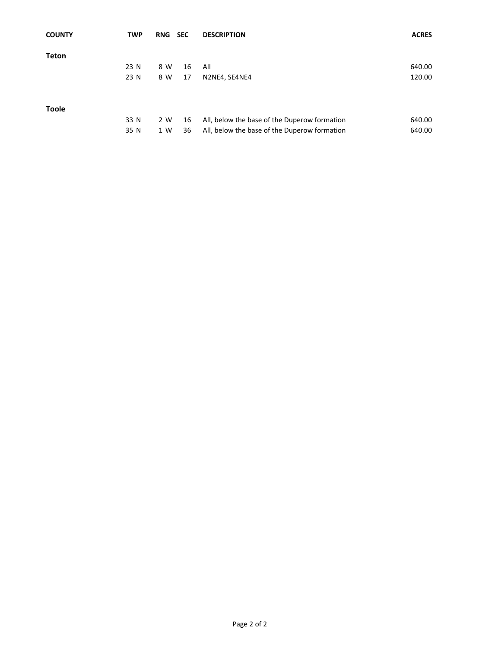| <b>COUNTY</b> | <b>TWP</b> | <b>RNG</b> | <b>SEC</b> | <b>DESCRIPTION</b>                           | <b>ACRES</b> |
|---------------|------------|------------|------------|----------------------------------------------|--------------|
|               |            |            |            |                                              |              |
| <b>Teton</b>  |            |            |            |                                              |              |
|               | 23 N       | 8 W        | 16         | All                                          | 640.00       |
|               | 23 N       | 8 W        | 17         | N2NE4, SE4NE4                                | 120.00       |
| <b>Toole</b>  |            |            |            |                                              |              |
|               | 33 N       | 2 W        | 16         | All, below the base of the Duperow formation | 640.00       |
|               | 35 N       | 1 W        | 36         | All, below the base of the Duperow formation | 640.00       |